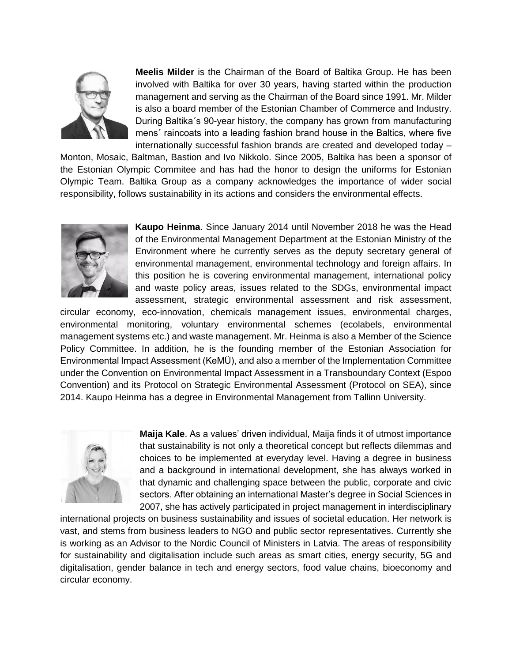

**Meelis Milder** is the Chairman of the Board of Baltika Group. He has been involved with Baltika for over 30 years, having started within the production management and serving as the Chairman of the Board since 1991. Mr. Milder is also a board member of the Estonian Chamber of Commerce and Industry. During Baltika´s 90-year history, the company has grown from manufacturing mens´ raincoats into a leading fashion brand house in the Baltics, where five internationally successful fashion brands are created and developed today –

Monton, Mosaic, Baltman, Bastion and Ivo Nikkolo. Since 2005, Baltika has been a sponsor of the Estonian Olympic Commitee and has had the honor to design the uniforms for Estonian Olympic Team. Baltika Group as a company acknowledges the importance of wider social responsibility, follows sustainability in its actions and considers the environmental effects.



**Kaupo Heinma**. Since January 2014 until November 2018 he was the Head of the Environmental Management Department at the Estonian Ministry of the Environment where he currently serves as the deputy secretary general of environmental management, environmental technology and foreign affairs. In this position he is covering environmental management, international policy and waste policy areas, issues related to the SDGs, environmental impact assessment, strategic environmental assessment and risk assessment,

circular economy, eco-innovation, chemicals management issues, environmental charges, environmental monitoring, voluntary environmental schemes (ecolabels, environmental management systems etc.) and waste management. Mr. Heinma is also a Member of the Science Policy Committee. In addition, he is the founding member of the Estonian Association for Environmental Impact Assessment (KeMÜ), and also a member of the Implementation Committee under the Convention on Environmental Impact Assessment in a Transboundary Context (Espoo Convention) and its Protocol on Strategic Environmental Assessment (Protocol on SEA), since 2014. Kaupo Heinma has a degree in Environmental Management from Tallinn University.



**Maija Kale**. As a values' driven individual, Maija finds it of utmost importance that sustainability is not only a theoretical concept but reflects dilemmas and choices to be implemented at everyday level. Having a degree in business and a background in international development, she has always worked in that dynamic and challenging space between the public, corporate and civic sectors. After obtaining an international Master's degree in Social Sciences in 2007, she has actively participated in project management in interdisciplinary

international projects on business sustainability and issues of societal education. Her network is vast, and stems from business leaders to NGO and public sector representatives. Currently she is working as an Advisor to the Nordic Council of Ministers in Latvia. The areas of responsibility for sustainability and digitalisation include such areas as smart cities, energy security, 5G and digitalisation, gender balance in tech and energy sectors, food value chains, bioeconomy and circular economy.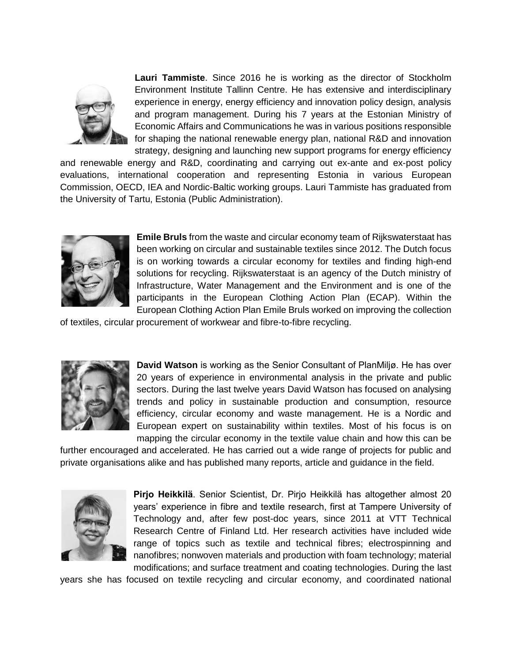

**Lauri Tammiste**. Since 2016 he is working as the director of Stockholm Environment Institute Tallinn Centre. He has extensive and interdisciplinary experience in energy, energy efficiency and innovation policy design, analysis and program management. During his 7 years at the Estonian Ministry of Economic Affairs and Communications he was in various positions responsible for shaping the national renewable energy plan, national R&D and innovation strategy, designing and launching new support programs for energy efficiency

and renewable energy and R&D, coordinating and carrying out ex-ante and ex-post policy evaluations, international cooperation and representing Estonia in various European Commission, OECD, IEA and Nordic-Baltic working groups. Lauri Tammiste has graduated from the University of Tartu, Estonia (Public Administration).



**Emile Bruls** from the waste and circular economy team of Rijkswaterstaat has been working on circular and sustainable textiles since 2012. The Dutch focus is on working towards a circular economy for textiles and finding high-end solutions for recycling. Rijkswaterstaat is an agency of the Dutch ministry of Infrastructure, Water Management and the Environment and is one of the participants in the European Clothing Action Plan (ECAP). Within the European Clothing Action Plan Emile Bruls worked on improving the collection

of textiles, circular procurement of workwear and fibre-to-fibre recycling.



**David Watson** is working as the Senior Consultant of PlanMiljø. He has over 20 years of experience in environmental analysis in the private and public sectors. During the last twelve years David Watson has focused on analysing trends and policy in sustainable production and consumption, resource efficiency, circular economy and waste management. He is a Nordic and European expert on sustainability within textiles. Most of his focus is on mapping the circular economy in the textile value chain and how this can be

further encouraged and accelerated. He has carried out a wide range of projects for public and private organisations alike and has published many reports, article and guidance in the field.



**Pirjo Heikkilä**. Senior Scientist, Dr. Pirjo Heikkilä has altogether almost 20 years' experience in fibre and textile research, first at Tampere University of Technology and, after few post-doc years, since 2011 at VTT Technical Research Centre of Finland Ltd. Her research activities have included wide range of topics such as textile and technical fibres; electrospinning and nanofibres; nonwoven materials and production with foam technology; material modifications; and surface treatment and coating technologies. During the last

years she has focused on textile recycling and circular economy, and coordinated national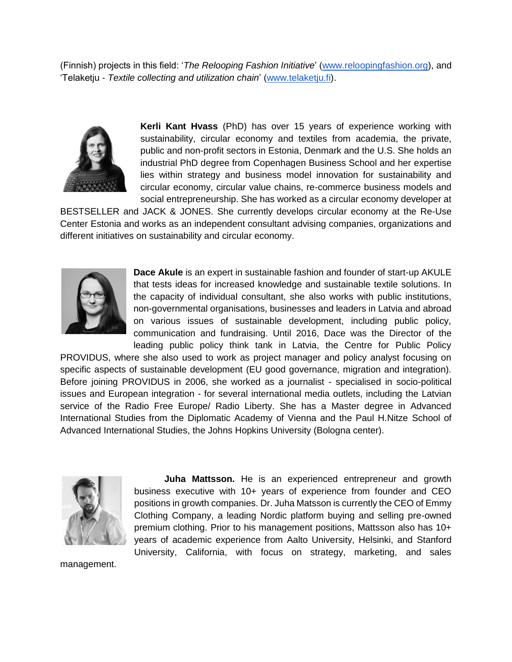(Finnish) projects in this field: '*The Relooping Fashion Initiative*' [\(www.reloopingfashion.org\)](http://www.reloopingfashion.org/), and 'Telaketju - *Textile collecting and utilization chain*' [\(www.telaketju.fi\)](http://www.telaketju.fi/).



**Kerli Kant Hvass** (PhD) has over 15 years of experience working with sustainability, circular economy and textiles from academia, the private, public and non-profit sectors in Estonia, Denmark and the U.S. She holds an industrial PhD degree from Copenhagen Business School and her expertise lies within strategy and business model innovation for sustainability and circular economy, circular value chains, re-commerce business models and social entrepreneurship. She has worked as a circular economy developer at

BESTSELLER and JACK & JONES. She currently develops circular economy at the Re-Use Center Estonia and works as an independent consultant advising companies, organizations and different initiatives on sustainability and circular economy.



**Dace Akule** is an expert in sustainable fashion and founder of start-up AKULE that tests ideas for increased knowledge and sustainable textile solutions. In the capacity of individual consultant, she also works with public institutions, non-governmental organisations, businesses and leaders in Latvia and abroad on various issues of sustainable development, including public policy, communication and fundraising. Until 2016, Dace was the Director of the leading public policy think tank in Latvia, the Centre for Public Policy

PROVIDUS, where she also used to work as project manager and policy analyst focusing on specific aspects of sustainable development (EU good governance, migration and integration). Before joining PROVIDUS in 2006, she worked as a journalist - specialised in socio-political issues and European integration - for several international media outlets, including the Latvian service of the Radio Free Europe/ Radio Liberty. She has a Master degree in Advanced International Studies from the Diplomatic Academy of Vienna and the Paul H.Nitze School of Advanced International Studies, the Johns Hopkins University (Bologna center).



**Juha Mattsson.** He is an experienced entrepreneur and growth business executive with 10+ years of experience from founder and CEO positions in growth companies. Dr. Juha Matsson is currently the CEO of Emmy Clothing Company, a leading Nordic platform buying and selling pre-owned premium clothing. Prior to his management positions, Mattsson also has 10+ years of academic experience from Aalto University, Helsinki, and Stanford University, California, with focus on strategy, marketing, and sales

management.